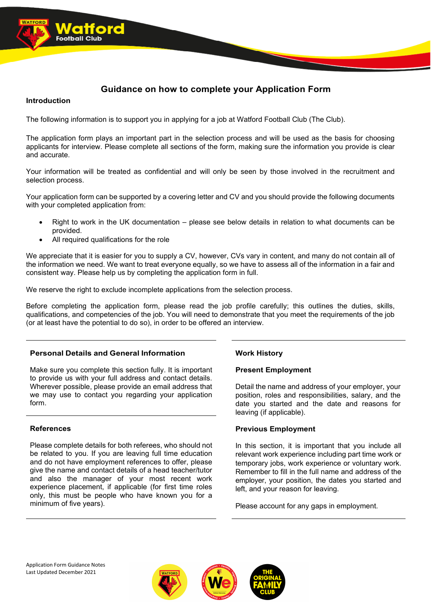# **Guidance on how to complete your Application Form**

# **Introduction**

The following information is to support you in applying for a job at Watford Football Club (The Club).

The application form plays an important part in the selection process and will be used as the basis for choosing applicants for interview. Please complete all sections of the form, making sure the information you provide is clear and accurate.

Your information will be treated as confidential and will only be seen by those involved in the recruitment and selection process.

Your application form can be supported by a covering letter and CV and you should provide the following documents with your completed application from:

- Right to work in the UK documentation please see below details in relation to what documents can be provided.
- All required qualifications for the role

We appreciate that it is easier for you to supply a CV, however, CVs vary in content, and many do not contain all of the information we need. We want to treat everyone equally, so we have to assess all of the information in a fair and consistent way. Please help us by completing the application form in full.

We reserve the right to exclude incomplete applications from the selection process.

Before completing the application form, please read the job profile carefully; this outlines the duties, skills, qualifications, and competencies of the job. You will need to demonstrate that you meet the requirements of the job (or at least have the potential to do so), in order to be offered an interview.

# **Personal Details and General Information**

Make sure you complete this section fully. It is important to provide us with your full address and contact details. Wherever possible, please provide an email address that we may use to contact you regarding your application form.

# **References**

Please complete details for both referees, who should not be related to you. If you are leaving full time education and do not have employment references to offer, please give the name and contact details of a head teacher/tutor and also the manager of your most recent work experience placement, if applicable (for first time roles only, this must be people who have known you for a minimum of five years).

# **Work History**

# **Present Employment**

Detail the name and address of your employer, your position, roles and responsibilities, salary, and the date you started and the date and reasons for leaving (if applicable).

# **Previous Employment**

In this section, it is important that you include all relevant work experience including part time work or temporary jobs, work experience or voluntary work. Remember to fill in the full name and address of the employer, your position, the dates you started and left, and your reason for leaving.

Please account for any gaps in employment.

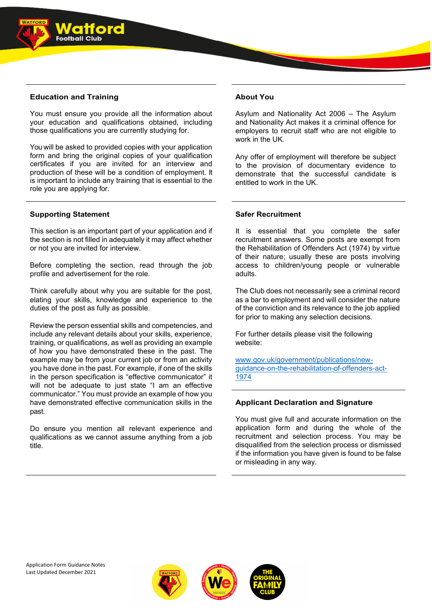

You must ensure you provide all the information about your education and qualifications obtained, including those qualifications you are currently studying for.

You will be asked to provided copies with your application form and bring the original copies of your qualification certificates if you are invited for an interview and production of these will be a condition of employment. It is important to include any training that is essential to the role you are applying for.

# **Supporting Statement**

This section is an important part of your application and if the section is not filled in adequately it may affect whether or not you are invited for interview.

Before completing the section, read through the job profile and advertisement for the role.

Think carefully about why you are suitable for the post, elating your skills, knowledge and experience to the duties of the post as fully as possible.

Review the person essential skills and competencies, and include any relevant details about your skills, experience, training, or qualifications, as well as providing an example of how you have demonstrated these in the past. The example may be from your current job or from an activity you have done in the past. For example, if one of the skills in the person specification is "effective communicator" it will not be adequate to just state "I am an effective communicator." You must provide an example of how you have demonstrated effective communication skills in the past.

Do ensure you mention all relevant experience and qualifications as we cannot assume anything from a job title.

# **About You**

Asylum and Nationality Act 2006 – The Asylum and Nationality Act makes it a criminal offence for employers to recruit staff who are not eligible to work in the UK.

Any offer of employment will therefore be subject to the provision of documentary evidence to demonstrate that the successful candidate is entitled to work in the UK.

# **Safer Recruitment**

It is essential that you complete the safer recruitment answers. Some posts are exempt from the Rehabilitation of Offenders Act (1974) by virtue of their nature; usually these are posts involving access to children/young people or vulnerable adults.

The Club does not necessarily see a criminal record as a bar to employment and will consider the nature of the conviction and its relevance to the job applied for prior to making any selection decisions.

For further details please visit the following website:

[www.gov.uk/government/publications/new](http://www.gov.uk/government/publications/new-guidance-on-the-rehabilitation-of-offenders-act-1974)[guidance-on-the-rehabilitation-of-offenders-act-](http://www.gov.uk/government/publications/new-guidance-on-the-rehabilitation-of-offenders-act-1974)[1974](http://www.gov.uk/government/publications/new-guidance-on-the-rehabilitation-of-offenders-act-1974)

# **Applicant Declaration and Signature**

You must give full and accurate information on the application form and during the whole of the recruitment and selection process. You may be disqualified from the selection process or dismissed if the information you have given is found to be false or misleading in any way.



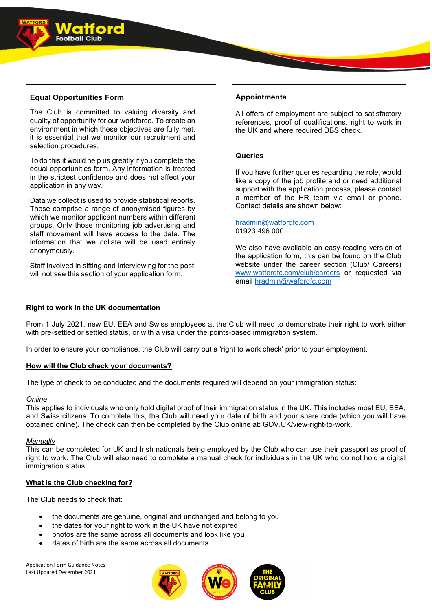

The Club is committed to valuing diversity and quality of opportunity for our workforce. To create an environment in which these objectives are fully met, it is essential that we monitor our recruitment and selection procedures.

To do this it would help us greatly if you complete the equal opportunities form. Any information is treated in the strictest confidence and does not affect your application in any way.

Data we collect is used to provide statistical reports. These comprise a range of anonymised figures by which we monitor applicant numbers within different groups. Only those monitoring job advertising and staff movement will have access to the data. The information that we collate will be used entirely anonymously.

Staff involved in sifting and interviewing for the post will not see this section of your application form.

# **Appointments**

All offers of employment are subject to satisfactory references, proof of qualifications, right to work in the UK and where required DBS check.

# **Queries**

If you have further queries regarding the role, would like a copy of the job profile and or need additional support with the application process, please contact a member of the HR team via email or phone. Contact details are shown below:

#### [hradmin@watfordfc.com](mailto:hradmin@watfordfc.com) 01923 496 000

We also have available an easy-reading version of the application form, this can be found on the Club website under the career section (Club/ Careers) [www.watfordfc.com/club/careers](http://www.watfordfc.com/club/careers) or requested via email [hradmin@wafordfc.com](mailto:hradmin@wafordfc.com)

### **Right to work in the UK documentation**

From 1 July 2021, new EU, EEA and Swiss employees at the Club will need to demonstrate their right to work either with pre-settled or settled status, or with a visa under the points-based immigration system.

In order to ensure your compliance, the Club will carry out a 'right to work check' prior to your employment.

### **How will the Club check your documents?**

The type of check to be conducted and the documents required will depend on your immigration status:

### *Online*

This applies to individuals who only hold digital proof of their immigration status in the UK. This includes most EU, EEA, and Swiss citizens. To complete this, the Club will need your date of birth and your share code (which you will have obtained online). The check can then be completed by the Club online at: [GOV.UK/view-right-to-work.](https://eur02.safelinks.protection.outlook.com/?url=http%3A%2F%2Fgov.uk%2Fview-right-to-work&data=04%7C01%7CKirsty.Dunbar%40watfordfc.com%7Cf42cdc37d28a4ba1fd1308d92fd2cb85%7Cad5a268d116f41e89d0f1e4a59239ac8%7C0%7C0%7C637593404796059098%7CUnknown%7CTWFpbGZsb3d8eyJWIjoiMC4wLjAwMDAiLCJQIjoiV2luMzIiLCJBTiI6Ik1haWwiLCJXVCI6Mn0%3D%7C1000&sdata=LX5jM75bAbH%2BWFZh6EQUxvBs7ag2HHkibgw5m6kh1n4%3D&reserved=0)

### *Manually*

This can be completed for UK and Irish nationals being employed by the Club who can use their passport as proof of right to work. The Club will also need to complete a manual check for individuals in the UK who do not hold a digital immigration status.

# **What is the Club checking for?**

The Club needs to check that:

- the documents are genuine, original and unchanged and belong to you
- the dates for your right to work in the UK have not expired
- photos are the same across all documents and look like you
- dates of birth are the same across all documents